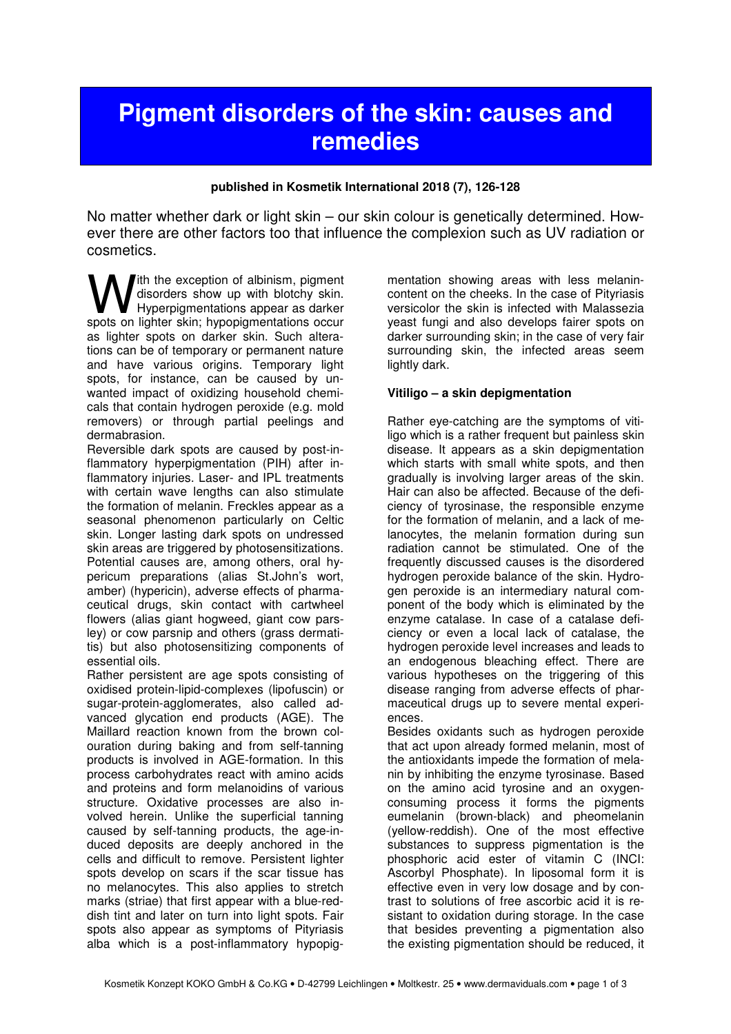# **Pigment disorders of the skin: causes and remedies**

#### **published in Kosmetik International 2018 (7), 126-128**

No matter whether dark or light skin – our skin colour is genetically determined. However there are other factors too that influence the complexion such as UV radiation or cosmetics.

Ith the exception of albinism, pigment disorders show up with blotchy skin. Hyperpigmentations appear as darker **W** disorders show up with blotchy skin.<br>
Spots on lighter skin; hypopigmentations occur spots on lighter skin; hypopigmentations occur as lighter spots on darker skin. Such alterations can be of temporary or permanent nature and have various origins. Temporary light spots, for instance, can be caused by unwanted impact of oxidizing household chemicals that contain hydrogen peroxide (e.g. mold removers) or through partial peelings and dermabrasion.

Reversible dark spots are caused by post-inflammatory hyperpigmentation (PIH) after inflammatory injuries. Laser- and IPL treatments with certain wave lengths can also stimulate the formation of melanin. Freckles appear as a seasonal phenomenon particularly on Celtic skin. Longer lasting dark spots on undressed skin areas are triggered by photosensitizations. Potential causes are, among others, oral hypericum preparations (alias St.John's wort, amber) (hypericin), adverse effects of pharmaceutical drugs, skin contact with cartwheel flowers (alias giant hogweed, giant cow parsley) or cow parsnip and others (grass dermatitis) but also photosensitizing components of essential oils.

Rather persistent are age spots consisting of oxidised protein-lipid-complexes (lipofuscin) or sugar-protein-agglomerates, also called advanced glycation end products (AGE). The Maillard reaction known from the brown colouration during baking and from self-tanning products is involved in AGE-formation. In this process carbohydrates react with amino acids and proteins and form melanoidins of various structure. Oxidative processes are also involved herein. Unlike the superficial tanning caused by self-tanning products, the age-induced deposits are deeply anchored in the cells and difficult to remove. Persistent lighter spots develop on scars if the scar tissue has no melanocytes. This also applies to stretch marks (striae) that first appear with a blue-reddish tint and later on turn into light spots. Fair spots also appear as symptoms of Pityriasis alba which is a post-inflammatory hypopig-

mentation showing areas with less melanincontent on the cheeks. In the case of Pityriasis versicolor the skin is infected with Malassezia yeast fungi and also develops fairer spots on darker surrounding skin; in the case of very fair surrounding skin, the infected areas seem lightly dark.

# **Vitiligo – a skin depigmentation**

Rather eye-catching are the symptoms of vitiligo which is a rather frequent but painless skin disease. It appears as a skin depigmentation which starts with small white spots, and then gradually is involving larger areas of the skin. Hair can also be affected. Because of the deficiency of tyrosinase, the responsible enzyme for the formation of melanin, and a lack of melanocytes, the melanin formation during sun radiation cannot be stimulated. One of the frequently discussed causes is the disordered hydrogen peroxide balance of the skin. Hydrogen peroxide is an intermediary natural component of the body which is eliminated by the enzyme catalase. In case of a catalase deficiency or even a local lack of catalase, the hydrogen peroxide level increases and leads to an endogenous bleaching effect. There are various hypotheses on the triggering of this disease ranging from adverse effects of pharmaceutical drugs up to severe mental experiences.

Besides oxidants such as hydrogen peroxide that act upon already formed melanin, most of the antioxidants impede the formation of melanin by inhibiting the enzyme tyrosinase. Based on the amino acid tyrosine and an oxygenconsuming process it forms the pigments eumelanin (brown-black) and pheomelanin (yellow-reddish). One of the most effective substances to suppress pigmentation is the phosphoric acid ester of vitamin C (INCI: Ascorbyl Phosphate). In liposomal form it is effective even in very low dosage and by contrast to solutions of free ascorbic acid it is resistant to oxidation during storage. In the case that besides preventing a pigmentation also the existing pigmentation should be reduced, it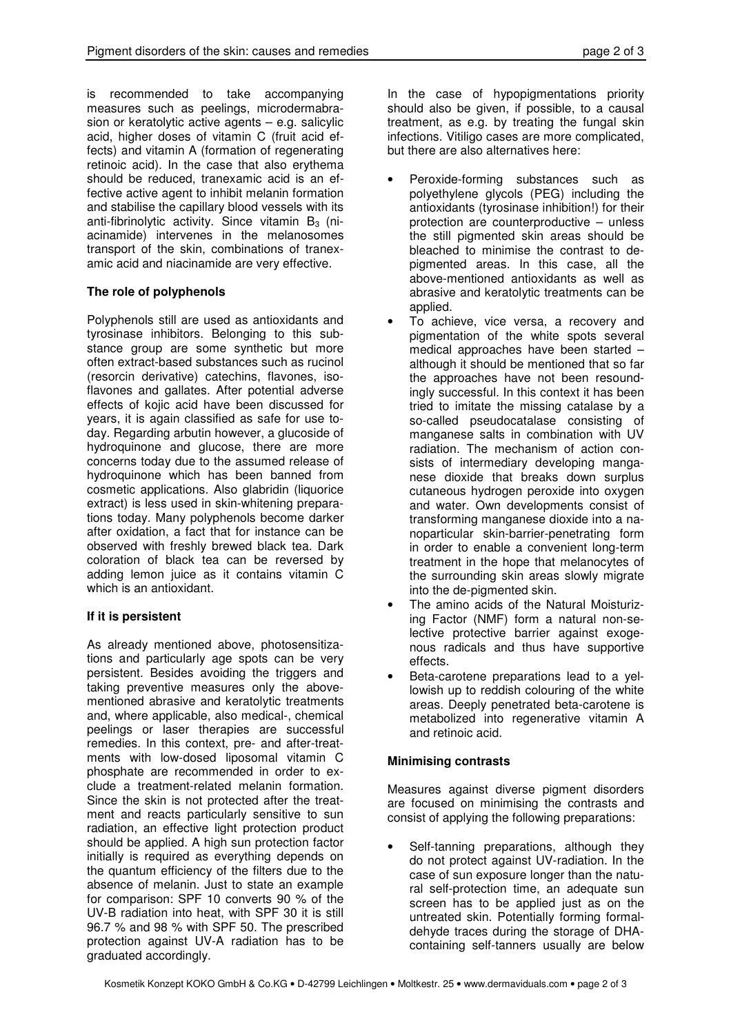is recommended to take accompanying measures such as peelings, microdermabrasion or keratolytic active agents – e.g. salicylic acid, higher doses of vitamin C (fruit acid effects) and vitamin A (formation of regenerating retinoic acid). In the case that also erythema should be reduced, tranexamic acid is an effective active agent to inhibit melanin formation and stabilise the capillary blood vessels with its anti-fibrinolytic activity. Since vitamin  $B_3$  (niacinamide) intervenes in the melanosomes transport of the skin, combinations of tranexamic acid and niacinamide are very effective.

# **The role of polyphenols**

Polyphenols still are used as antioxidants and tyrosinase inhibitors. Belonging to this substance group are some synthetic but more often extract-based substances such as rucinol (resorcin derivative) catechins, flavones, isoflavones and gallates. After potential adverse effects of kojic acid have been discussed for years, it is again classified as safe for use today. Regarding arbutin however, a glucoside of hydroquinone and glucose, there are more concerns today due to the assumed release of hydroquinone which has been banned from cosmetic applications. Also glabridin (liquorice extract) is less used in skin-whitening preparations today. Many polyphenols become darker after oxidation, a fact that for instance can be observed with freshly brewed black tea. Dark coloration of black tea can be reversed by adding lemon juice as it contains vitamin C which is an antioxidant.

# **If it is persistent**

As already mentioned above, photosensitizations and particularly age spots can be very persistent. Besides avoiding the triggers and taking preventive measures only the abovementioned abrasive and keratolytic treatments and, where applicable, also medical-, chemical peelings or laser therapies are successful remedies. In this context, pre- and after-treatments with low-dosed liposomal vitamin C phosphate are recommended in order to exclude a treatment-related melanin formation. Since the skin is not protected after the treatment and reacts particularly sensitive to sun radiation, an effective light protection product should be applied. A high sun protection factor initially is required as everything depends on the quantum efficiency of the filters due to the absence of melanin. Just to state an example for comparison: SPF 10 converts 90 % of the UV-B radiation into heat, with SPF 30 it is still 96.7 % and 98 % with SPF 50. The prescribed protection against UV-A radiation has to be graduated accordingly.

In the case of hypopigmentations priority should also be given, if possible, to a causal treatment, as e.g. by treating the fungal skin infections. Vitiligo cases are more complicated, but there are also alternatives here:

- Peroxide-forming substances such as polyethylene glycols (PEG) including the antioxidants (tyrosinase inhibition!) for their protection are counterproductive – unless the still pigmented skin areas should be bleached to minimise the contrast to depigmented areas. In this case, all the above-mentioned antioxidants as well as abrasive and keratolytic treatments can be applied.
- To achieve, vice versa, a recovery and pigmentation of the white spots several medical approaches have been started – although it should be mentioned that so far the approaches have not been resoundingly successful. In this context it has been tried to imitate the missing catalase by a so-called pseudocatalase consisting of manganese salts in combination with UV radiation. The mechanism of action consists of intermediary developing manganese dioxide that breaks down surplus cutaneous hydrogen peroxide into oxygen and water. Own developments consist of transforming manganese dioxide into a nanoparticular skin-barrier-penetrating form in order to enable a convenient long-term treatment in the hope that melanocytes of the surrounding skin areas slowly migrate into the de-pigmented skin.
- The amino acids of the Natural Moisturizing Factor (NMF) form a natural non-selective protective barrier against exogenous radicals and thus have supportive effects.
- Beta-carotene preparations lead to a yellowish up to reddish colouring of the white areas. Deeply penetrated beta-carotene is metabolized into regenerative vitamin A and retinoic acid.

# **Minimising contrasts**

Measures against diverse pigment disorders are focused on minimising the contrasts and consist of applying the following preparations:

Self-tanning preparations, although they do not protect against UV-radiation. In the case of sun exposure longer than the natural self-protection time, an adequate sun screen has to be applied just as on the untreated skin. Potentially forming formaldehyde traces during the storage of DHAcontaining self-tanners usually are below